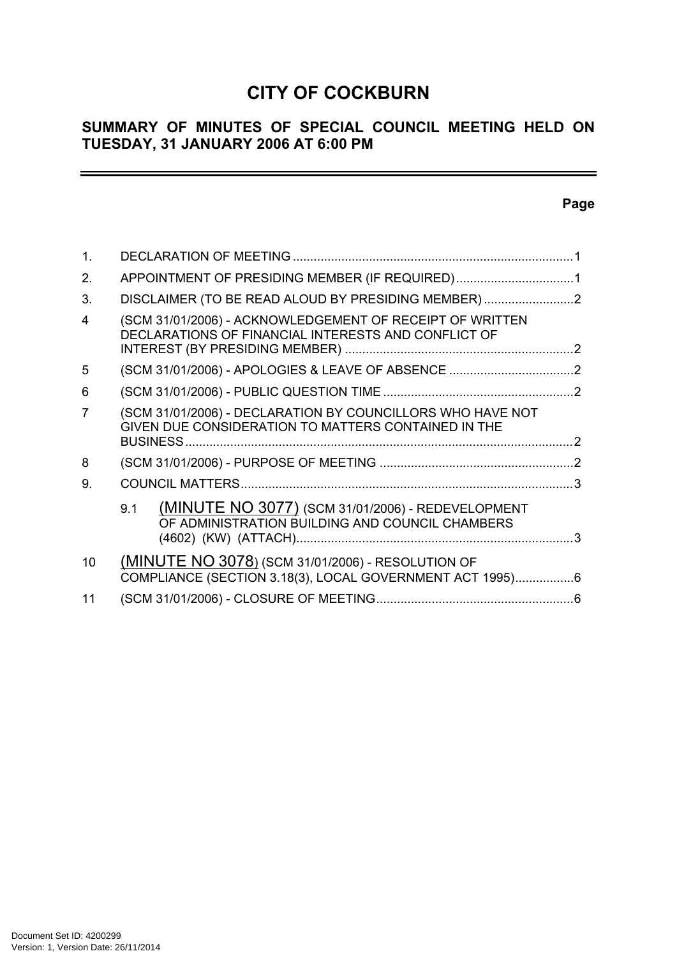# **CITY OF COCKBURN**

## **SUMMARY OF MINUTES OF SPECIAL COUNCIL MEETING HELD ON TUESDAY, 31 JANUARY 2006 AT 6:00 PM**

## **Page**

-

| 1. |                  |                                                                                                                   |  |
|----|------------------|-------------------------------------------------------------------------------------------------------------------|--|
| 2. |                  | APPOINTMENT OF PRESIDING MEMBER (IF REQUIRED)1                                                                    |  |
| 3. |                  | DISCLAIMER (TO BE READ ALOUD BY PRESIDING MEMBER)2                                                                |  |
| 4  |                  | (SCM 31/01/2006) - ACKNOWLEDGEMENT OF RECEIPT OF WRITTEN<br>DECLARATIONS OF FINANCIAL INTERESTS AND CONFLICT OF   |  |
| 5  |                  |                                                                                                                   |  |
| 6  |                  |                                                                                                                   |  |
| 7  | <b>BUSINESS.</b> | (SCM 31/01/2006) - DECLARATION BY COUNCILLORS WHO HAVE NOT<br>GIVEN DUE CONSIDERATION TO MATTERS CONTAINED IN THE |  |
| 8  |                  |                                                                                                                   |  |
| 9. |                  |                                                                                                                   |  |
|    | 9.1              | (MINUTE NO 3077) (SCM 31/01/2006) - REDEVELOPMENT<br>OF ADMINISTRATION BUILDING AND COUNCIL CHAMBERS              |  |
| 10 |                  | (MINUTE NO 3078) (SCM 31/01/2006) - RESOLUTION OF<br>COMPLIANCE (SECTION 3.18(3), LOCAL GOVERNMENT ACT 1995)6     |  |
| 11 |                  |                                                                                                                   |  |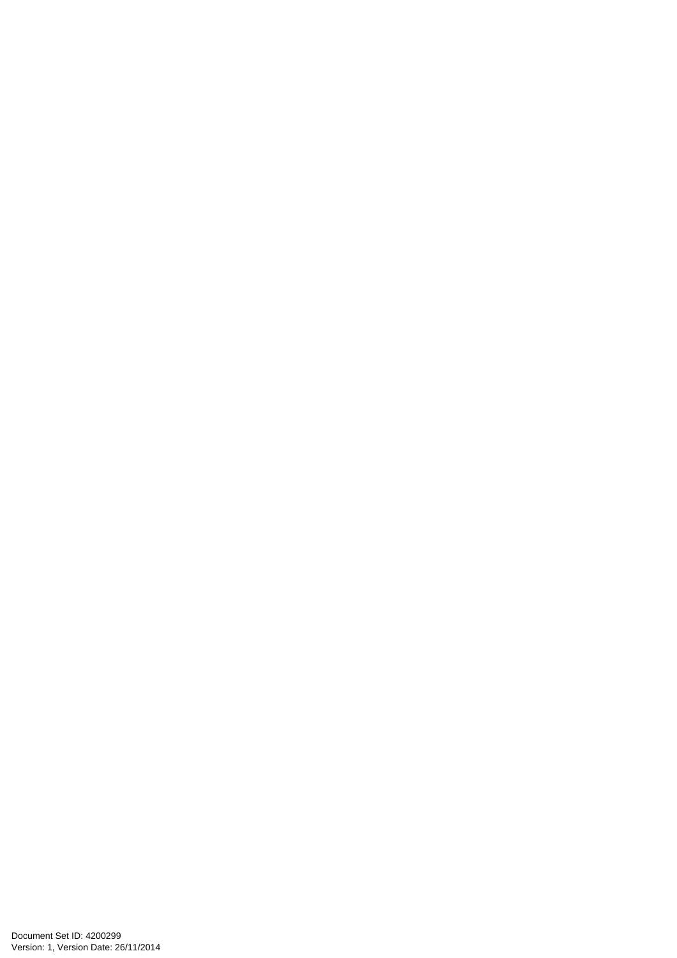Document Set ID: 4200299<br>Version: 1, Version Date: 26/11/2014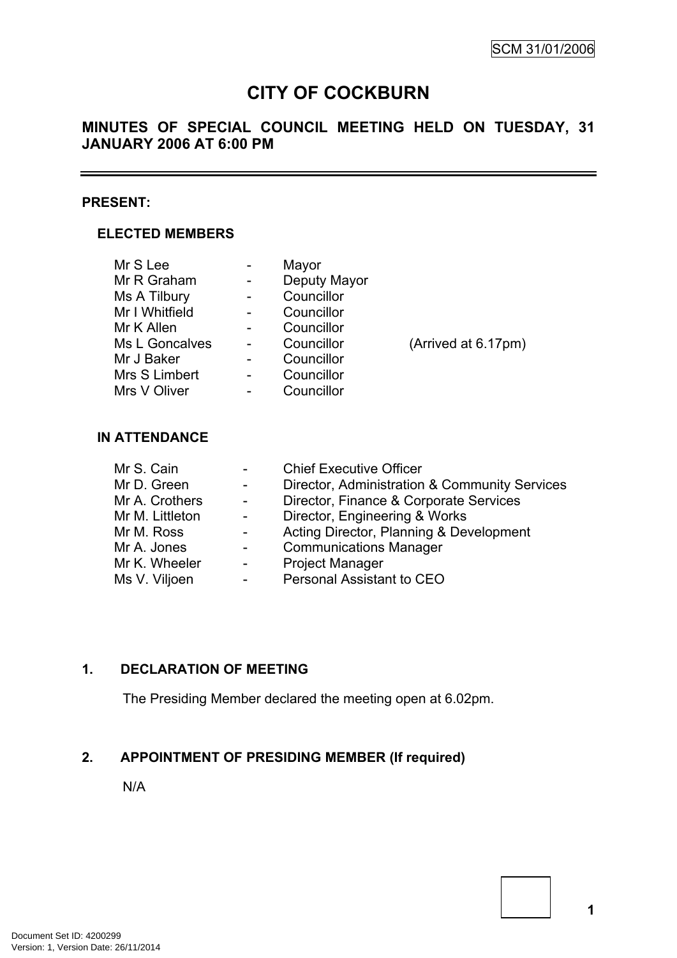# **CITY OF COCKBURN**

## **MINUTES OF SPECIAL COUNCIL MEETING HELD ON TUESDAY, 31 JANUARY 2006 AT 6:00 PM**

#### **PRESENT:**

### **ELECTED MEMBERS**

| Mr S Lee       |   | Mayor        |                     |
|----------------|---|--------------|---------------------|
| Mr R Graham    |   | Deputy Mayor |                     |
| Ms A Tilbury   |   | Councillor   |                     |
| Mr I Whitfield |   | Councillor   |                     |
| Mr K Allen     |   | Councillor   |                     |
| Ms L Goncalves | - | Councillor   | (Arrived at 6.17pm) |
| Mr J Baker     |   | Councillor   |                     |
| Mrs S Limbert  |   | Councillor   |                     |
| Mrs V Oliver   |   | Councillor   |                     |
|                |   |              |                     |

### **IN ATTENDANCE**

| Mr S. Cain      |                          | <b>Chief Executive Officer</b>                |
|-----------------|--------------------------|-----------------------------------------------|
| Mr D. Green     |                          | Director, Administration & Community Services |
| Mr A. Crothers  | $\sim 100$ m $^{-1}$     | Director, Finance & Corporate Services        |
| Mr M. Littleton | $\overline{\phantom{a}}$ | Director, Engineering & Works                 |
| Mr M. Ross      |                          | Acting Director, Planning & Development       |
| Mr A. Jones     | $\sim 100$               | <b>Communications Manager</b>                 |
| Mr K. Wheeler   | $\sim 100$               | <b>Project Manager</b>                        |
| Ms V. Viljoen   |                          | Personal Assistant to CEO                     |

## <span id="page-2-0"></span>**1. DECLARATION OF MEETING**

The Presiding Member declared the meeting open at 6.02pm.

## <span id="page-2-1"></span>**2. APPOINTMENT OF PRESIDING MEMBER (If required)**

<span id="page-2-2"></span>N/A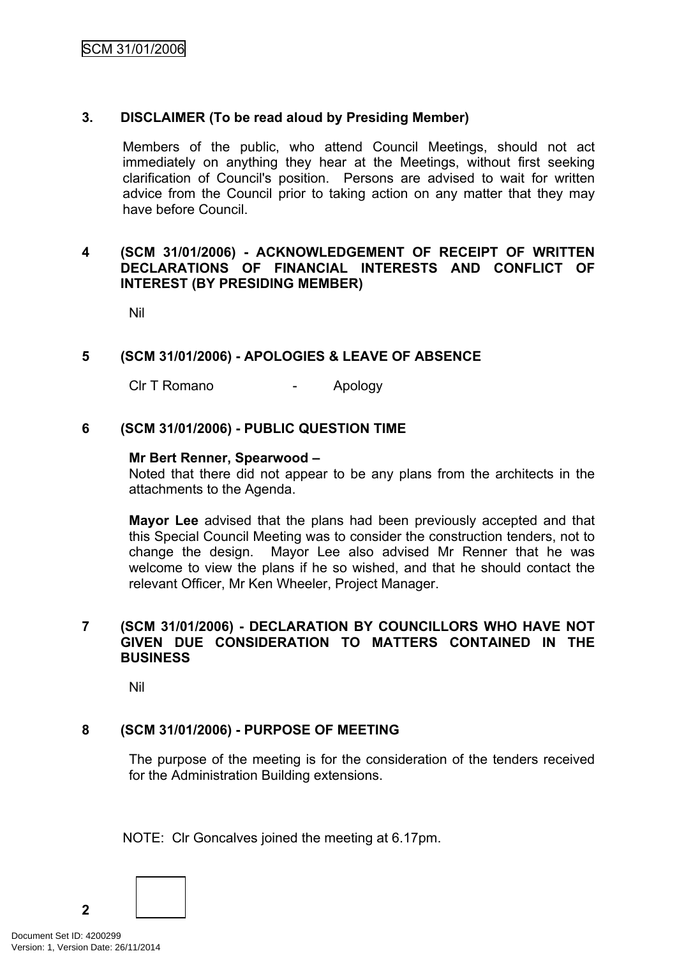## **3. DISCLAIMER (To be read aloud by Presiding Member)**

Members of the public, who attend Council Meetings, should not act immediately on anything they hear at the Meetings, without first seeking clarification of Council's position. Persons are advised to wait for written advice from the Council prior to taking action on any matter that they may have before Council.

#### <span id="page-3-0"></span>**4 (SCM 31/01/2006) - ACKNOWLEDGEMENT OF RECEIPT OF WRITTEN DECLARATIONS OF FINANCIAL INTERESTS AND CONFLICT OF INTEREST (BY PRESIDING MEMBER)**

Nil

## <span id="page-3-1"></span>**5 (SCM 31/01/2006) - APOLOGIES & LEAVE OF ABSENCE**

Clr T Romano - Apology

#### <span id="page-3-2"></span>**6 (SCM 31/01/2006) - PUBLIC QUESTION TIME**

#### **Mr Bert Renner, Spearwood –**

Noted that there did not appear to be any plans from the architects in the attachments to the Agenda.

**Mayor Lee** advised that the plans had been previously accepted and that this Special Council Meeting was to consider the construction tenders, not to change the design. Mayor Lee also advised Mr Renner that he was welcome to view the plans if he so wished, and that he should contact the relevant Officer, Mr Ken Wheeler, Project Manager.

#### <span id="page-3-3"></span>**7 (SCM 31/01/2006) - DECLARATION BY COUNCILLORS WHO HAVE NOT GIVEN DUE CONSIDERATION TO MATTERS CONTAINED IN THE BUSINESS**

Nil

## <span id="page-3-4"></span>**8 (SCM 31/01/2006) - PURPOSE OF MEETING**

The purpose of the meeting is for the consideration of the tenders received for the Administration Building extensions.

NOTE: Clr Goncalves joined the meeting at 6.17pm.



**2**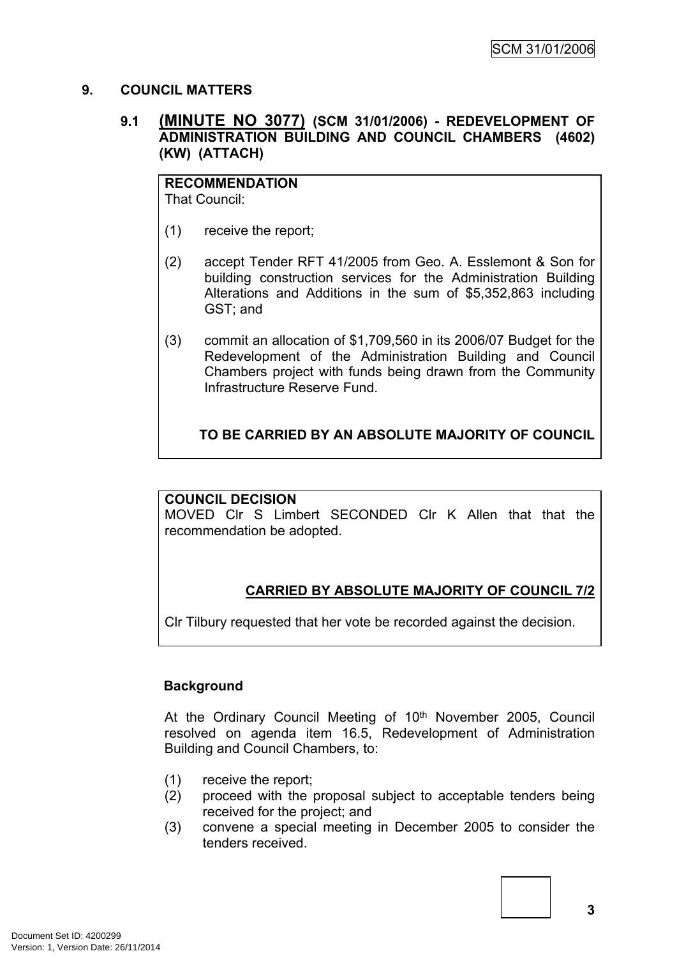## <span id="page-4-0"></span>**9. COUNCIL MATTERS**

### <span id="page-4-1"></span>**9.1 (MINUTE NO 3077) (SCM 31/01/2006) - REDEVELOPMENT OF ADMINISTRATION BUILDING AND COUNCIL CHAMBERS (4602) (KW) (ATTACH)**

**RECOMMENDATION** That Council:

- (1) receive the report;
- (2) accept Tender RFT 41/2005 from Geo. A. Esslemont & Son for building construction services for the Administration Building Alterations and Additions in the sum of \$5,352,863 including GST; and
- (3) commit an allocation of \$1,709,560 in its 2006/07 Budget for the Redevelopment of the Administration Building and Council Chambers project with funds being drawn from the Community Infrastructure Reserve Fund.

## **TO BE CARRIED BY AN ABSOLUTE MAJORITY OF COUNCIL**

#### **COUNCIL DECISION**

MOVED Clr S Limbert SECONDED Clr K Allen that that the recommendation be adopted.

## **CARRIED BY ABSOLUTE MAJORITY OF COUNCIL 7/2**

Clr Tilbury requested that her vote be recorded against the decision.

#### **Background**

At the Ordinary Council Meeting of 10<sup>th</sup> November 2005, Council resolved on agenda item 16.5, Redevelopment of Administration Building and Council Chambers, to:

- (1) receive the report;
- (2) proceed with the proposal subject to acceptable tenders being received for the project; and
- (3) convene a special meeting in December 2005 to consider the tenders received.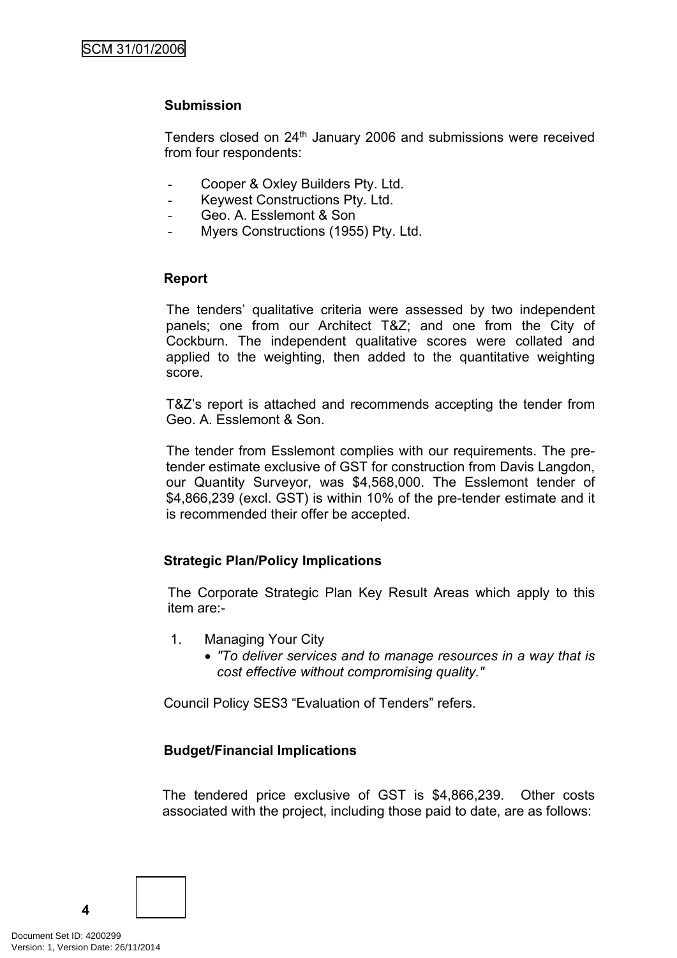#### **Submission**

Tenders closed on 24<sup>th</sup> January 2006 and submissions were received from four respondents:

- Cooper & Oxley Builders Pty. Ltd.
- Keywest Constructions Pty. Ltd.
- Geo. A. Esslemont & Son
- Myers Constructions (1955) Pty. Ltd.

#### **Report**

The tenders' qualitative criteria were assessed by two independent panels; one from our Architect T&Z; and one from the City of Cockburn. The independent qualitative scores were collated and applied to the weighting, then added to the quantitative weighting score.

T&Z's report is attached and recommends accepting the tender from Geo. A. Esslemont & Son.

The tender from Esslemont complies with our requirements. The pretender estimate exclusive of GST for construction from Davis Langdon, our Quantity Surveyor, was \$4,568,000. The Esslemont tender of \$4,866,239 (excl. GST) is within 10% of the pre-tender estimate and it is recommended their offer be accepted.

#### **Strategic Plan/Policy Implications**

The Corporate Strategic Plan Key Result Areas which apply to this item are:-

- 1. Managing Your City
	- *"To deliver services and to manage resources in a way that is cost effective without compromising quality."*

Council Policy SES3 "Evaluation of Tenders" refers.

#### **Budget/Financial Implications**

The tendered price exclusive of GST is \$4,866,239. Other costs associated with the project, including those paid to date, are as follows:



**4**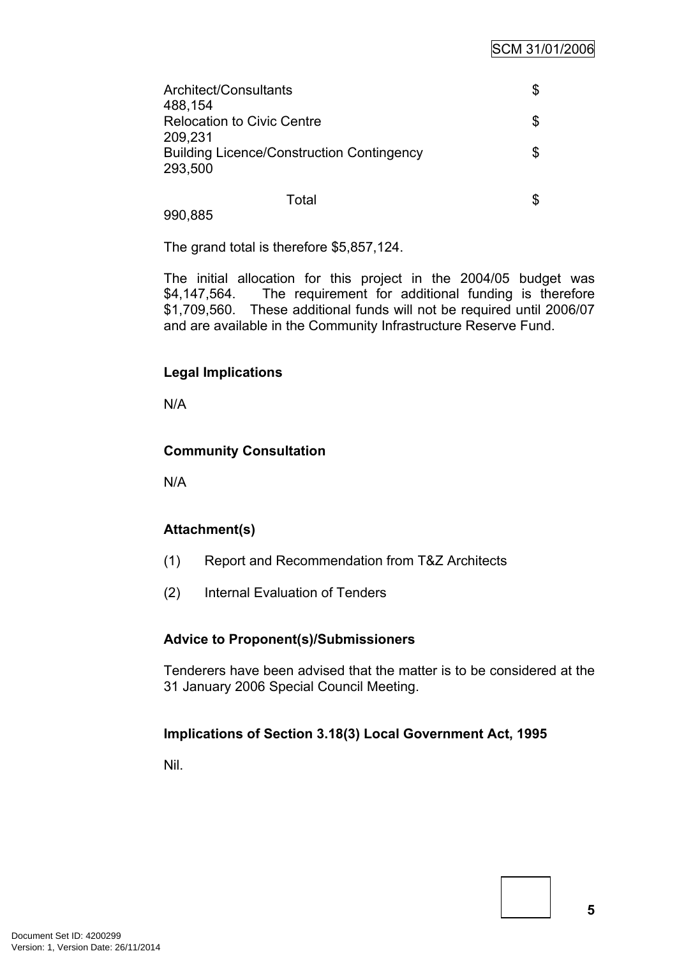| <b>Architect/Consultants</b>                     |  |
|--------------------------------------------------|--|
| 488,154                                          |  |
| <b>Relocation to Civic Centre</b>                |  |
| 209,231                                          |  |
| <b>Building Licence/Construction Contingency</b> |  |
| 293,500                                          |  |
|                                                  |  |

990,885

The grand total is therefore \$5,857,124.

The initial allocation for this project in the 2004/05 budget was \$4,147,564. The requirement for additional funding is therefore \$1,709,560. These additional funds will not be required until 2006/07 and are available in the Community Infrastructure Reserve Fund.

Total **\$** 

## **Legal Implications**

N/A

## **Community Consultation**

N/A

## **Attachment(s)**

- (1) Report and Recommendation from T&Z Architects
- (2) Internal Evaluation of Tenders

## **Advice to Proponent(s)/Submissioners**

Tenderers have been advised that the matter is to be considered at the 31 January 2006 Special Council Meeting.

## **Implications of Section 3.18(3) Local Government Act, 1995**

Nil.